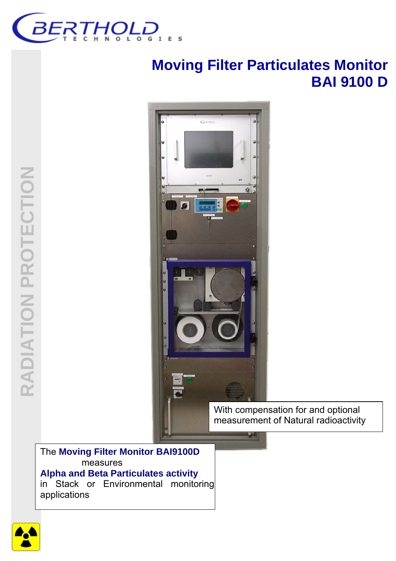

# **Moving Filter Particulates Monitor BAI 9100 D**



With compensation for and optional measurement of Natural radioactivity

The **Moving Filter Monitor BAI9100D** measures **Alpha and Beta Particulates activity** in Stack or Environmental monitoring applications

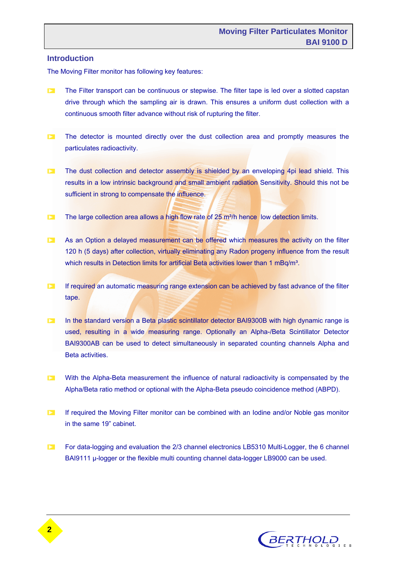#### **Introduction**

The Moving Filter monitor has following key features:

- **The Filter transport can be continuous or stepwise. The filter tape is led over a slotted capstan** drive through which the sampling air is drawn. This ensures a uniform dust collection with a continuous smooth filter advance without risk of rupturing the filter.
- The detector is mounted directly over the dust collection area and promptly measures the particulates radioactivity.
- The dust collection and detector assembly is shielded by an enveloping 4pi lead shield. This results in a low intrinsic background and small ambient radiation Sensitivity. Should this not be sufficient in strong to compensate the influence.
- The large collection area allows a high flow rate of  $25 \text{ m}^3/h$  hence low detection limits.
- As an Option a delayed measurement can be offered which measures the activity on the filter 120 h (5 days) after collection, virtually eliminating any Radon progeny influence from the result which results in Detection limits for artificial Beta activities lower than 1 mBq/m<sup>3</sup>.
- $\Box$  If required an automatic measuring range extension can be achieved by fast advance of the filter tape.
- **In the standard version a Beta plastic scintillator detector BAI9300B with high dynamic range is** used, resulting in a wide measuring range. Optionally an Alpha-/Beta Scintillator Detector BAI9300AB can be used to detect simultaneously in separated counting channels Alpha and Beta activities.
- **EX** With the Alpha-Beta measurement the influence of natural radioactivity is compensated by the Alpha/Beta ratio method or optional with the Alpha-Beta pseudo coincidence method (ABPD).
- **If required the Moving Filter monitor can be combined with an Iodine and/or Noble gas monitor** in the same 19" cabinet.
- **For data-logging and evaluation the 2/3 channel electronics LB5310 Multi-Logger, the 6 channel** BAI9111 u-logger or the flexible multi counting channel data-logger LB9000 can be used.

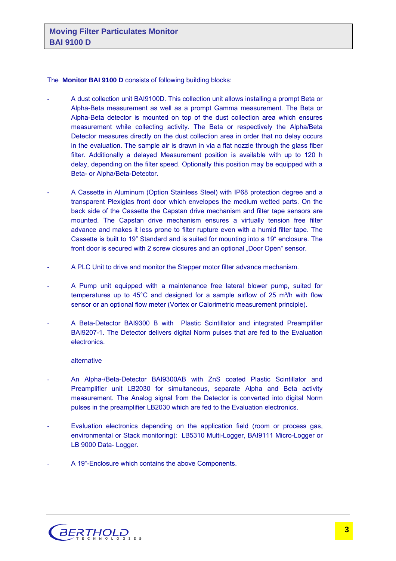#### The **Monitor BAI 9100 D** consists of following building blocks:

- A dust collection unit BAI9100D. This collection unit allows installing a prompt Beta or Alpha-Beta measurement as well as a prompt Gamma measurement. The Beta or Alpha-Beta detector is mounted on top of the dust collection area which ensures measurement while collecting activity. The Beta or respectively the Alpha/Beta Detector measures directly on the dust collection area in order that no delay occurs in the evaluation. The sample air is drawn in via a flat nozzle through the glass fiber filter. Additionally a delayed Measurement position is available with up to 120 h delay, depending on the filter speed. Optionally this position may be equipped with a Beta- or Alpha/Beta-Detector.
- A Cassette in Aluminum (Option Stainless Steel) with IP68 protection degree and a transparent Plexiglas front door which envelopes the medium wetted parts. On the back side of the Cassette the Capstan drive mechanism and filter tape sensors are mounted. The Capstan drive mechanism ensures a virtually tension free filter advance and makes it less prone to filter rupture even with a humid filter tape. The Cassette is built to 19" Standard and is suited for mounting into a 19" enclosure. The front door is secured with 2 screw closures and an optional "Door Open" sensor.
- A PLC Unit to drive and monitor the Stepper motor filter advance mechanism.
- A Pump unit equipped with a maintenance free lateral blower pump, suited for temperatures up to  $45^{\circ}$ C and designed for a sample airflow of 25 m<sup>3</sup>/h with flow sensor or an optional flow meter (Vortex or Calorimetric measurement principle).
- A Beta-Detector BAI9300 B with Plastic Scintillator and integrated Preamplifier BAI9207-1. The Detector delivers digital Norm pulses that are fed to the Evaluation electronics.

#### alternative

- An Alpha-/Beta-Detector BAI9300AB with ZnS coated Plastic Scintillator and Preamplifier unit LB2030 for simultaneous, separate Alpha and Beta activity measurement. The Analog signal from the Detector is converted into digital Norm pulses in the preamplifier LB2030 which are fed to the Evaluation electronics.
- Evaluation electronics depending on the application field (room or process gas, environmental or Stack monitoring): LB5310 Multi-Logger, BAI9111 Micro-Logger or LB 9000 Data- Logger.
- A 19"-Enclosure which contains the above Components.

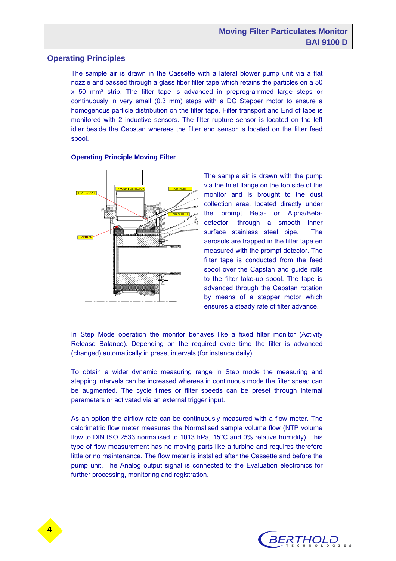# **Operating Principles**

The sample air is drawn in the Cassette with a lateral blower pump unit via a flat nozzle and passed through a glass fiber filter tape which retains the particles on a 50 x 50 mm² strip. The filter tape is advanced in preprogrammed large steps or continuously in very small (0.3 mm) steps with a DC Stepper motor to ensure a homogenous particle distribution on the filter tape. Filter transport and End of tape is monitored with 2 inductive sensors. The filter rupture sensor is located on the left idler beside the Capstan whereas the filter end sensor is located on the filter feed spool.

#### **Operating Principle Moving Filter**



The sample air is drawn with the pump via the Inlet flange on the top side of the monitor and is brought to the dust collection area, located directly under the prompt Beta- or Alpha/Betadetector, through a smooth inner surface stainless steel pipe. The aerosols are trapped in the filter tape en measured with the prompt detector. The filter tape is conducted from the feed spool over the Capstan and quide rolls to the filter take-up spool. The tape is advanced through the Capstan rotation by means of a stepper motor which ensures a steady rate of filter advance.

In Step Mode operation the monitor behaves like a fixed filter monitor (Activity Release Balance). Depending on the required cycle time the filter is advanced (changed) automatically in preset intervals (for instance daily).

To obtain a wider dynamic measuring range in Step mode the measuring and stepping intervals can be increased whereas in continuous mode the filter speed can be augmented. The cycle times or filter speeds can be preset through internal parameters or activated via an external trigger input.

As an option the airflow rate can be continuously measured with a flow meter. The calorimetric flow meter measures the Normalised sample volume flow (NTP volume flow to DIN ISO 2533 normalised to 1013 hPa, 15°C and 0% relative humidity). This type of flow measurement has no moving parts like a turbine and requires therefore little or no maintenance. The flow meter is installed after the Cassette and before the pump unit. The Analog output signal is connected to the Evaluation electronics for further processing, monitoring and registration.

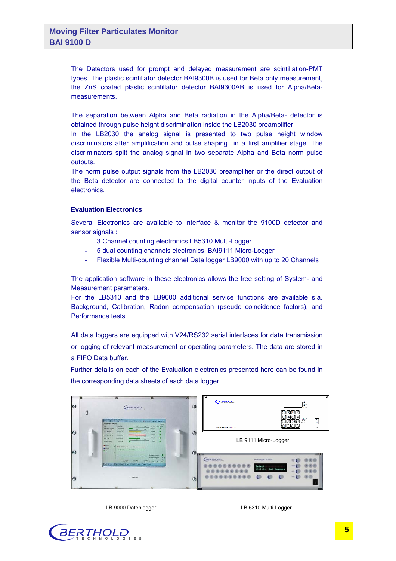The Detectors used for prompt and delayed measurement are scintillation-PMT types. The plastic scintillator detector BAI9300B is used for Beta only measurement, the ZnS coated plastic scintillator detector BAI9300AB is used for Alpha/Betameasurements.

The separation between Alpha and Beta radiation in the Alpha/Beta- detector is obtained through pulse height discrimination inside the LB2030 preamplifier.

In the LB2030 the analog signal is presented to two pulse height window discriminators after amplification and pulse shaping in a first amplifier stage. The discriminators split the analog signal in two separate Alpha and Beta norm pulse outputs.

The norm pulse output signals from the LB2030 preamplifier or the direct output of the Beta detector are connected to the digital counter inputs of the Evaluation electronics.

#### **Evaluation Electronics**

Several Electronics are available to interface & monitor the 9100D detector and sensor signals :

- 3 Channel counting electronics LB5310 Multi-Logger
- 5 dual counting channels electronics BAI9111 Micro-Logger
- Flexible Multi-counting channel Data logger LB9000 with up to 20 Channels

The application software in these electronics allows the free setting of System- and Measurement parameters.

For the LB5310 and the LB9000 additional service functions are available s.a. Background, Calibration, Radon compensation (pseudo coincidence factors), and Performance tests.

All data loggers are equipped with V24/RS232 serial interfaces for data transmission or logging of relevant measurement or operating parameters. The data are stored in a FIFO Data buffer.

Further details on each of the Evaluation electronics presented here can be found in the corresponding data sheets of each data logger.



LB 9000 Datenlogger

LB 5310 Multi-Logger

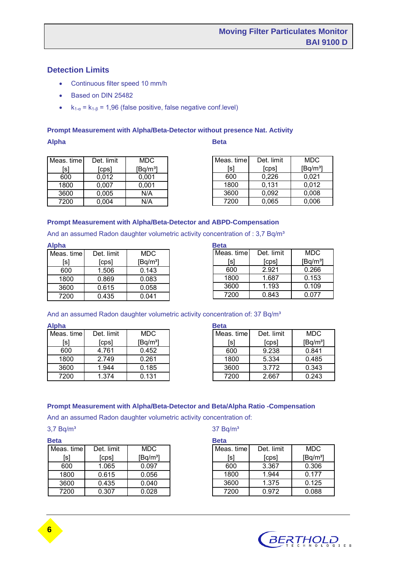# **Detection Limits**

- Continuous filter speed 10 mm/h
- Based on DIN 25482
- $k_{1-\alpha} = k_{1-\beta} = 1,96$  (false positive, false negative conf.level)

#### **Prompt Measurement with Alpha/Beta-Detector without presence Nat. Activity**

**Alpha Beta** 

| Meas. time | Det. limit | MDC        |
|------------|------------|------------|
| [s]        | [cps]      | $[Bq/m^3]$ |
| 600        | 0.012      | 0,001      |
| 1800       | 0,007      | 0,001      |
| 3600       | 0,005      | N/A        |
| 7200       | 0,004      | N/A        |

| Meas. time | Det. limit | MDC        |
|------------|------------|------------|
| [s]        | [cps]      | $[Bq/m^3]$ |
| 600        | 0,226      | 0.021      |
| 1800       | 0,131      | 0,012      |
| 3600       | 0.092      | 0,008      |
| 7200       | 0.065      | 0.006      |
|            |            |            |

#### **Prompt Measurement with Alpha/Beta-Detector and ABPD-Compensation**

And an assumed Radon daughter volumetric activity concentration of : 3,7 Bq/m<sup>3</sup>

**Alpha Beta** 

| Meas. time | Det. limit | MDC        |
|------------|------------|------------|
| [s]        | [cps]      | $[Bq/m^3]$ |
| 600        | 1.506      | 0.143      |
| 1800       | 0.869      | 0.083      |
| 3600       | 0.615      | 0.058      |
| 7200       | 0.435      | 0.041      |

| <b>Beta</b>              |       |            |
|--------------------------|-------|------------|
| Meas. time<br>Det. limit |       | MDC        |
| [s]                      | [cps] | $[Bq/m^3]$ |
| 600                      | 2.921 | 0.266      |
| 1800                     | 1.687 | 0.153      |
| 3600                     | 1.193 | 0.109      |
| 7200                     | 0.843 | 0.077      |

#### And an assumed Radon daughter volumetric activity concentration of: 37 Bq/m<sup>3</sup>

#### **Alpha Beta**

| Meas. time | Det. limit | <b>MDC</b> |
|------------|------------|------------|
| [s]        | [cps]      | $[Bq/m^3]$ |
| 600        | 4.761      | 0.452      |
| 1800       | 2.749      | 0.261      |
| 3600       | 1.944      | 0.185      |
| 7200       | 1.374      | 0.131      |

| ына                      |       |            |  |
|--------------------------|-------|------------|--|
| Meas. time<br>Det. limit |       | MDC        |  |
| [s]                      | [cps] | $[Bq/m^3]$ |  |
| 600                      | 9.238 | 0.841      |  |
| 1800                     | 5.334 | 0.485      |  |
| 3600                     | 3.772 | 0.343      |  |
| 7200                     | 2.667 | 0.243      |  |

#### **Prompt Measurement with Alpha/Beta-Detector and Beta/Alpha Ratio -Compensation**

And an assumed Radon daughter volumetric activity concentration of:

| w | ۰, | . . |  |
|---|----|-----|--|
|   |    |     |  |
|   |    |     |  |

| <b>Beta</b> |            |            | <b>Beta</b>    |
|-------------|------------|------------|----------------|
| Meas. time  | Det. limit | <b>MDC</b> | Mea            |
| [s]         | [cps]      | $[Bq/m^3]$ |                |
| 600         | 1.065      | 0.097      | 6              |
| 1800        | 0.615      | 0.056      | 1)             |
| 3600        | 0.435      | 0.040      | 3 <sup>0</sup> |
| 7200        | 0.307      | 0.028      | 71             |

#### $3,7$  Bq/m<sup>3</sup> 37 Bq/m<sup>3</sup>

|  | ۰, | $\sim$<br>w |  |
|--|----|-------------|--|
|  |    |             |  |

| Meas. time | Det. limit | MDC                  |
|------------|------------|----------------------|
| [s]        | [cps]      | [Eq/m <sup>3</sup> ] |
| 600        | 3.367      | 0.306                |
| 1800       | 1.944      | 0.177                |
| 3600       | 1.375      | 0.125                |
| 7200       | 0.972      | 0.088                |

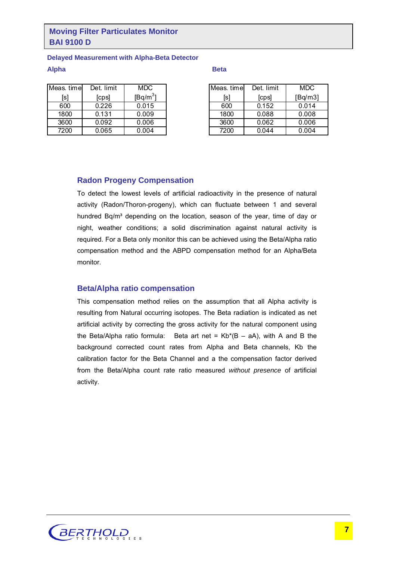# **Moving Filter Particulates Monitor BAI 9100 D**

#### **Delayed Measurement with Alpha-Beta Detector**

#### **Alpha Beta**

| Meas. time | Det. limit | MDC        |
|------------|------------|------------|
| [s]        | [cps]      | $[Bq/m^3]$ |
| 600        | 0.226      | 0.015      |
| 1800       | 0.131      | 0.009      |
| 3600       | 0.092      | 0.006      |
| 7200       | 0.065      | 0.004      |

| Meas. time | Det. limit | MDC     |
|------------|------------|---------|
| [s]        | [cps]      | [Bq/m3] |
| 600        | 0.152      | 0.014   |
| 1800       | 0.088      | 0.008   |
| 3600       | 0.062      | 0.006   |
| 7200       | 0.044      | 0.004   |

### **Radon Progeny Compensation**

To detect the lowest levels of artificial radioactivity in the presence of natural activity (Radon/Thoron-progeny), which can fluctuate between 1 and several hundred Bq/m<sup>3</sup> depending on the location, season of the year, time of day or night, weather conditions; a solid discrimination against natural activity is required. For a Beta only monitor this can be achieved using the Beta/Alpha ratio compensation method and the ABPD compensation method for an Alpha/Beta monitor.

### **Beta/Alpha ratio compensation**

This compensation method relies on the assumption that all Alpha activity is resulting from Natural occurring isotopes. The Beta radiation is indicated as net artificial activity by correcting the gross activity for the natural component using the Beta/Alpha ratio formula: Beta art net =  $Kb*(B - aA)$ , with A and B the background corrected count rates from Alpha and Beta channels, Kb the calibration factor for the Beta Channel and a the compensation factor derived from the Beta/Alpha count rate ratio measured *without presence* of artificial activity.

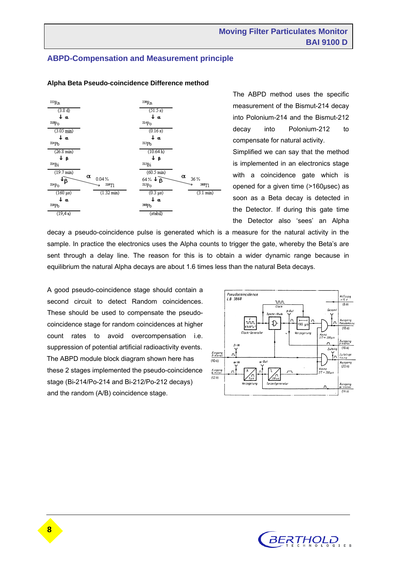# **ABPD-Compensation and Measurement principle**



#### **Alpha Beta Pseudo-coincidence Difference method**

The ABPD method uses the specific measurement of the Bismut-214 decay into Polonium-214 and the Bismut-212 decay into Polonium-212 to compensate for natural activity.

Simplified we can say that the method is implemented in an electronics stage with a coincidence gate which is opened for a given time (>160µsec) as soon as a Beta decay is detected in the Detector. If during this gate time the Detector also 'sees' an Alpha

decay a pseudo-coincidence pulse is generated which is a measure for the natural activity in the sample. In practice the electronics uses the Alpha counts to trigger the gate, whereby the Beta's are sent through a delay line. The reason for this is to obtain a wider dynamic range because in equilibrium the natural Alpha decays are about 1.6 times less than the natural Beta decays.

A good pseudo-coincidence stage should contain a second circuit to detect Random coincidences. These should be used to compensate the pseudocoincidence stage for random coincidences at higher count rates to avoid overcompensation i.e. suppression of potential artificial radioactivity events. The ABPD module block diagram shown here has these 2 stages implemented the pseudo-coincidence stage (Bi-214/Po-214 and Bi-212/Po-212 decays) and the random (A/B) coincidence stage.



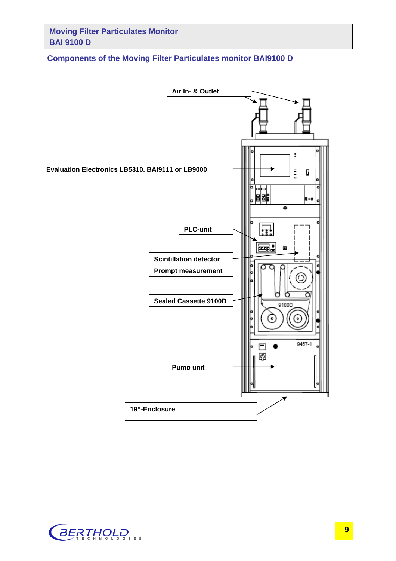# **Components of the Moving Filter Particulates monitor BAI9100 D**